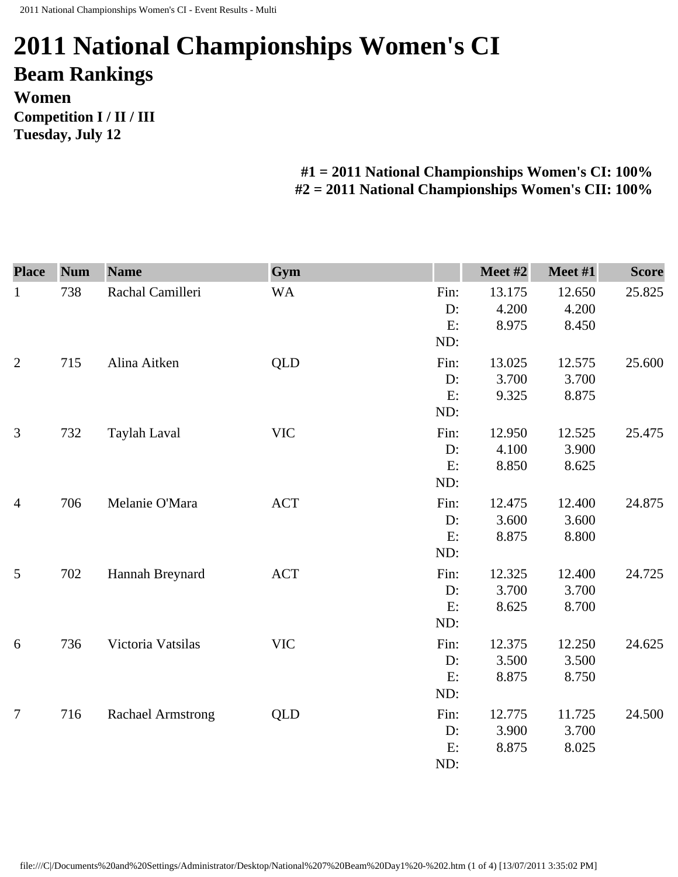## **2011 National Championships Women's CI Beam Rankings Women Competition I / II / III Tuesday, July 12**

## **#1 = 2011 National Championships Women's CI: 100% #2 = 2011 National Championships Women's CII: 100%**

| <b>Place</b>   | <b>Num</b> | <b>Name</b>              | Gym        |                            | Meet #2                  | Meet #1                  | <b>Score</b> |
|----------------|------------|--------------------------|------------|----------------------------|--------------------------|--------------------------|--------------|
| $\mathbf{1}$   | 738        | Rachal Camilleri         | <b>WA</b>  | Fin:<br>D:<br>E:<br>ND:    | 13.175<br>4.200<br>8.975 | 12.650<br>4.200<br>8.450 | 25.825       |
| $\overline{2}$ | 715        | Alina Aitken             | <b>QLD</b> | Fin:<br>D:<br>E:<br>ND:    | 13.025<br>3.700<br>9.325 | 12.575<br>3.700<br>8.875 | 25.600       |
| 3              | 732        | Taylah Laval             | <b>VIC</b> | Fin:<br>D:<br>E:<br>ND:    | 12.950<br>4.100<br>8.850 | 12.525<br>3.900<br>8.625 | 25.475       |
| $\overline{4}$ | 706        | Melanie O'Mara           | <b>ACT</b> | Fin:<br>D:<br>E:<br>ND:    | 12.475<br>3.600<br>8.875 | 12.400<br>3.600<br>8.800 | 24.875       |
| 5              | 702        | Hannah Breynard          | <b>ACT</b> | Fin:<br>D:<br>E:<br>ND:    | 12.325<br>3.700<br>8.625 | 12.400<br>3.700<br>8.700 | 24.725       |
| 6              | 736        | Victoria Vatsilas        | <b>VIC</b> | Fin:<br>$D$ :<br>E:<br>ND: | 12.375<br>3.500<br>8.875 | 12.250<br>3.500<br>8.750 | 24.625       |
| $\overline{7}$ | 716        | <b>Rachael Armstrong</b> | QLD        | Fin:<br>D:<br>E:<br>ND:    | 12.775<br>3.900<br>8.875 | 11.725<br>3.700<br>8.025 | 24.500       |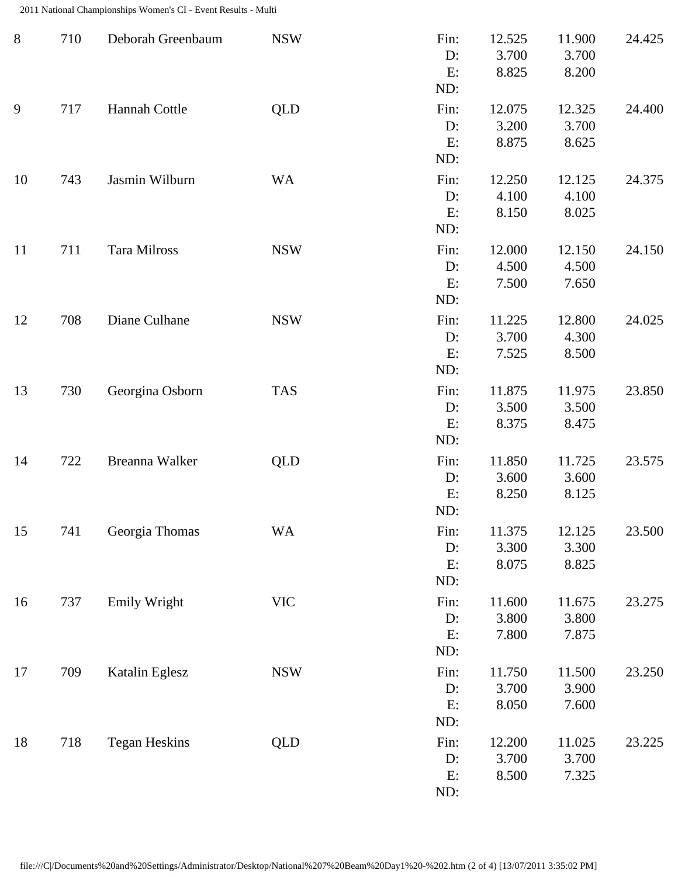2011 National Championships Women's CI - Event Results - Multi

| $8\,$ | 710 | Deborah Greenbaum    | <b>NSW</b>                | Fin:<br>D:<br>E:<br>ND:    | 12.525<br>3.700<br>8.825 | 11.900<br>3.700<br>8.200 | 24.425 |
|-------|-----|----------------------|---------------------------|----------------------------|--------------------------|--------------------------|--------|
| 9     | 717 | Hannah Cottle        | <b>QLD</b>                | Fin:<br>$D$ :<br>E:<br>ND: | 12.075<br>3.200<br>8.875 | 12.325<br>3.700<br>8.625 | 24.400 |
| 10    | 743 | Jasmin Wilburn       | <b>WA</b>                 | Fin:<br>D:<br>E:<br>ND:    | 12.250<br>4.100<br>8.150 | 12.125<br>4.100<br>8.025 | 24.375 |
| 11    | 711 | Tara Milross         | <b>NSW</b>                | Fin:<br>$D$ :<br>E:<br>ND: | 12.000<br>4.500<br>7.500 | 12.150<br>4.500<br>7.650 | 24.150 |
| 12    | 708 | Diane Culhane        | <b>NSW</b>                | Fin:<br>D:<br>E:<br>ND:    | 11.225<br>3.700<br>7.525 | 12.800<br>4.300<br>8.500 | 24.025 |
| 13    | 730 | Georgina Osborn      | <b>TAS</b>                | Fin:<br>D:<br>E:<br>ND:    | 11.875<br>3.500<br>8.375 | 11.975<br>3.500<br>8.475 | 23.850 |
| 14    | 722 | Breanna Walker       | <b>QLD</b>                | Fin:<br>D:<br>E:<br>ND:    | 11.850<br>3.600<br>8.250 | 11.725<br>3.600<br>8.125 | 23.575 |
| 15    | 741 | Georgia Thomas       | <b>WA</b>                 | Fin:<br>D:<br>E:<br>ND:    | 11.375<br>3.300<br>8.075 | 12.125<br>3.300<br>8.825 | 23.500 |
| 16    | 737 | <b>Emily Wright</b>  | $\ensuremath{\text{VIC}}$ | Fin:<br>D:<br>E:<br>ND:    | 11.600<br>3.800<br>7.800 | 11.675<br>3.800<br>7.875 | 23.275 |
| 17    | 709 | Katalin Eglesz       | <b>NSW</b>                | Fin:<br>D:<br>E:<br>ND:    | 11.750<br>3.700<br>8.050 | 11.500<br>3.900<br>7.600 | 23.250 |
| 18    | 718 | <b>Tegan Heskins</b> | <b>QLD</b>                | Fin:<br>D:<br>E:<br>ND:    | 12.200<br>3.700<br>8.500 | 11.025<br>3.700<br>7.325 | 23.225 |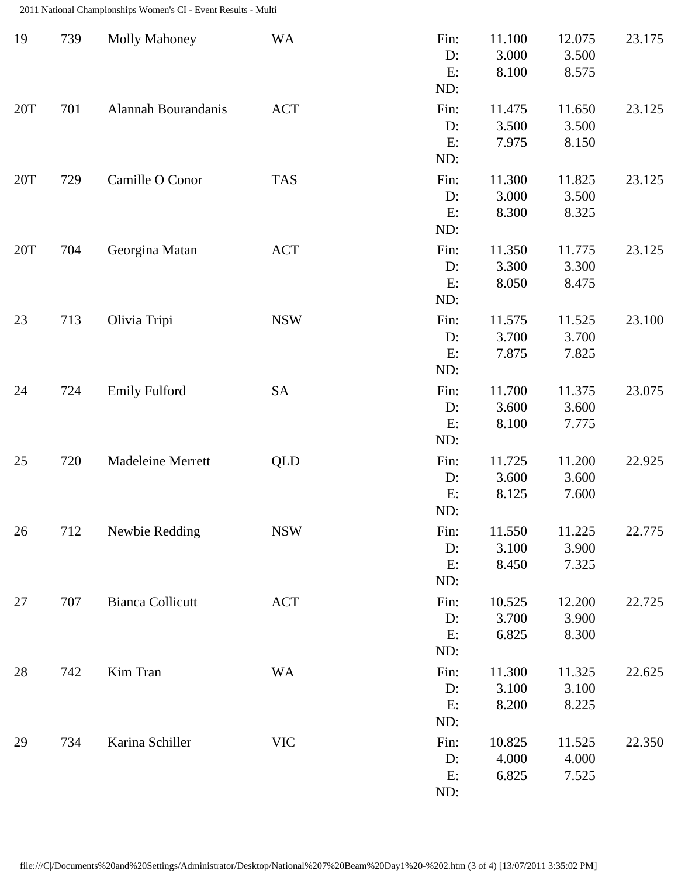2011 National Championships Women's CI - Event Results - Multi

| 19  | 739 | <b>Molly Mahoney</b>     | <b>WA</b>  | Fin:<br>D:<br>E:<br>ND:    | 11.100<br>3.000<br>8.100 | 12.075<br>3.500<br>8.575 | 23.175 |
|-----|-----|--------------------------|------------|----------------------------|--------------------------|--------------------------|--------|
| 20T | 701 | Alannah Bourandanis      | <b>ACT</b> | Fin:<br>D:<br>E:<br>ND:    | 11.475<br>3.500<br>7.975 | 11.650<br>3.500<br>8.150 | 23.125 |
| 20T | 729 | Camille O Conor          | <b>TAS</b> | Fin:<br>D:<br>E:<br>ND:    | 11.300<br>3.000<br>8.300 | 11.825<br>3.500<br>8.325 | 23.125 |
| 20T | 704 | Georgina Matan           | <b>ACT</b> | Fin:<br>D:<br>E:<br>ND:    | 11.350<br>3.300<br>8.050 | 11.775<br>3.300<br>8.475 | 23.125 |
| 23  | 713 | Olivia Tripi             | <b>NSW</b> | Fin:<br>$D$ :<br>E:<br>ND: | 11.575<br>3.700<br>7.875 | 11.525<br>3.700<br>7.825 | 23.100 |
| 24  | 724 | <b>Emily Fulford</b>     | <b>SA</b>  | Fin:<br>D:<br>E:<br>ND:    | 11.700<br>3.600<br>8.100 | 11.375<br>3.600<br>7.775 | 23.075 |
| 25  | 720 | <b>Madeleine Merrett</b> | <b>QLD</b> | Fin:<br>$D$ :<br>E:<br>ND: | 11.725<br>3.600<br>8.125 | 11.200<br>3.600<br>7.600 | 22.925 |
| 26  | 712 | Newbie Redding           | <b>NSW</b> | Fin:<br>D:<br>E:<br>ND:    | 11.550<br>3.100<br>8.450 | 11.225<br>3.900<br>7.325 | 22.775 |
| 27  | 707 | <b>Bianca Collicutt</b>  | <b>ACT</b> | Fin:<br>D:<br>E:<br>ND:    | 10.525<br>3.700<br>6.825 | 12.200<br>3.900<br>8.300 | 22.725 |
| 28  | 742 | Kim Tran                 | <b>WA</b>  | Fin:<br>$D$ :<br>E:<br>ND: | 11.300<br>3.100<br>8.200 | 11.325<br>3.100<br>8.225 | 22.625 |
| 29  | 734 | Karina Schiller          | <b>VIC</b> | Fin:<br>D:<br>E:<br>ND:    | 10.825<br>4.000<br>6.825 | 11.525<br>4.000<br>7.525 | 22.350 |